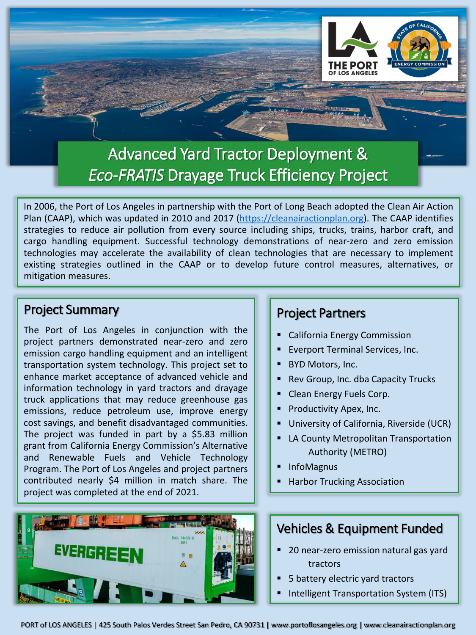

In 2006, the Port of Los Angeles in partnership with the Port of Long Beach adopted the Clean Air Action Plan (CAAP), which was updated in 2010 and 2017 ([https://cleanairactionplan.org\)](https://cleanairactionplan.org/). The CAAP identifies strategies to reduce air pollution from every source including ships, trucks, trains, harbor craft, and cargo handling equipment. Successful technology demonstrations of near-zero and zero emission technologies may accelerate the availability of clean technologies that are necessary to implement existing strategies outlined in the CAAP or to develop future control measures, alternatives, or mitigation measures.

#### Project Summary

The Port of Los Angeles in conjunction with the project partners demonstrated near-zero and zero emission cargo handling equipment and an intelligent transportation system technology. This project set to enhance market acceptance of advanced vehicle and information technology in yard tractors and drayage truck applications that may reduce greenhouse gas emissions, reduce petroleum use, improve energy cost savings, and benefit disadvantaged communities. The project was funded in part by a \$5.83 million grant from California Energy Commission's Alternative and Renewable Fuels and Vehicle Technology Program. The Port of Los Angeles and project partners contributed nearly \$4 million in match share. The project was completed at the end of 2021.



# Project Partners

California Energy Commission

OF LOS ANGELES

- Everport Terminal Services, Inc.
- BYD Motors, Inc.
- Rev Group, Inc. dba Capacity Trucks
- Clean Energy Fuels Corp.
- Productivity Apex, Inc.
- University of California, Riverside (UCR)
- **LA County Metropolitan Transportation** Authority (METRO)
- **InfoMagnus**
- **Harbor Trucking Association**

# Vehicles & Equipment Funded

- 20 near-zero emission natural gas yard tractors
- 5 battery electric yard tractors
- Intelligent Transportation System (ITS)